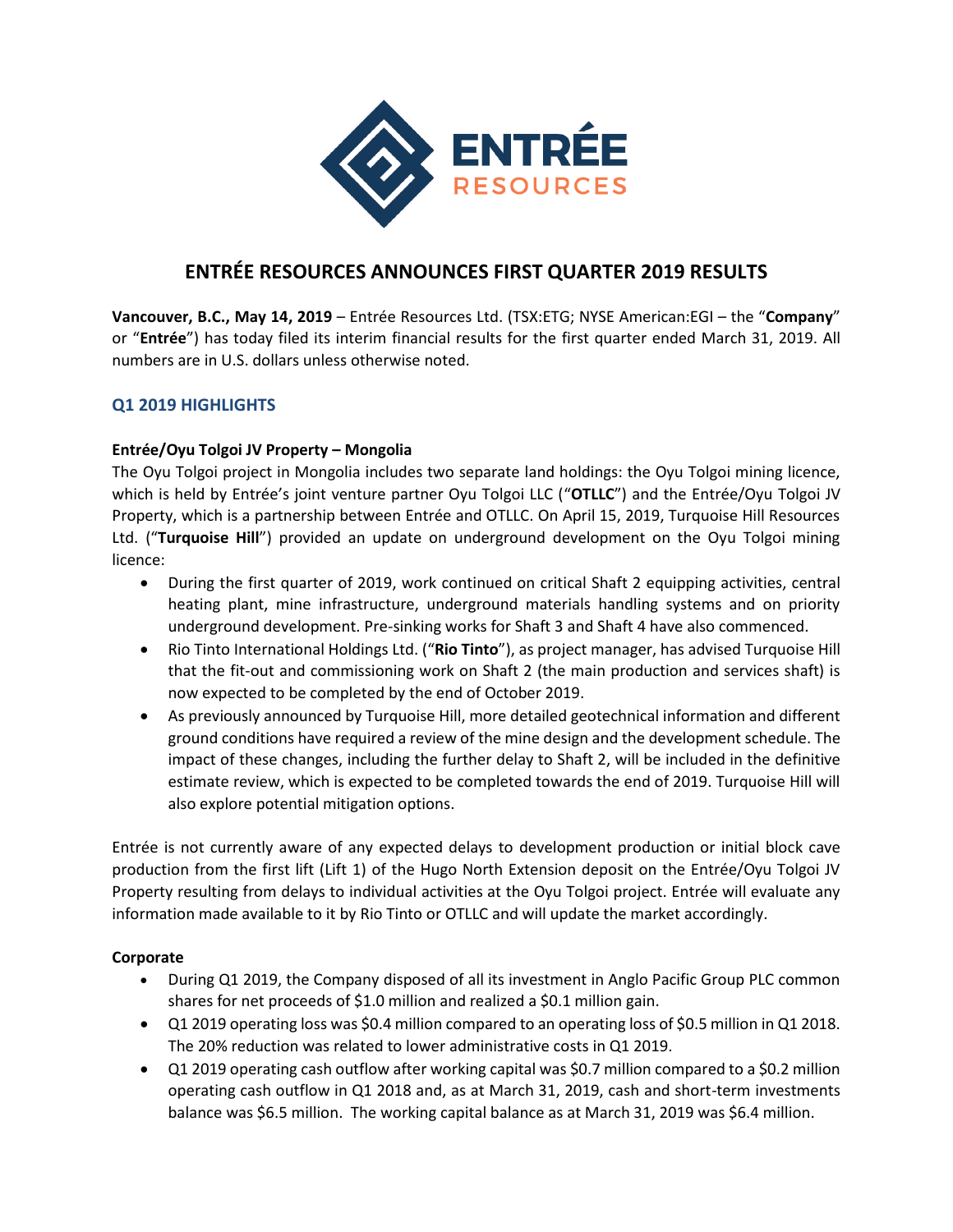

# **ENTRÉE RESOURCES ANNOUNCES FIRST QUARTER 2019 RESULTS**

**Vancouver, B.C., May 14, 2019** – Entrée Resources Ltd. (TSX:ETG; NYSE American:EGI – the "**Company**" or "**Entrée**") has today filed its interim financial results for the first quarter ended March 31, 2019. All numbers are in U.S. dollars unless otherwise noted.

## **Q1 2019 HIGHLIGHTS**

### **Entrée/Oyu Tolgoi JV Property – Mongolia**

The Oyu Tolgoi project in Mongolia includes two separate land holdings: the Oyu Tolgoi mining licence, which is held by Entrée's joint venture partner Oyu Tolgoi LLC ("**OTLLC**") and the Entrée/Oyu Tolgoi JV Property, which is a partnership between Entrée and OTLLC. On April 15, 2019, Turquoise Hill Resources Ltd. ("**Turquoise Hill**") provided an update on underground development on the Oyu Tolgoi mining licence:

- During the first quarter of 2019, work continued on critical Shaft 2 equipping activities, central heating plant, mine infrastructure, underground materials handling systems and on priority underground development. Pre-sinking works for Shaft 3 and Shaft 4 have also commenced.
- Rio Tinto International Holdings Ltd. ("**Rio Tinto**"), as project manager, has advised Turquoise Hill that the fit-out and commissioning work on Shaft 2 (the main production and services shaft) is now expected to be completed by the end of October 2019.
- As previously announced by Turquoise Hill, more detailed geotechnical information and different ground conditions have required a review of the mine design and the development schedule. The impact of these changes, including the further delay to Shaft 2, will be included in the definitive estimate review, which is expected to be completed towards the end of 2019. Turquoise Hill will also explore potential mitigation options.

Entrée is not currently aware of any expected delays to development production or initial block cave production from the first lift (Lift 1) of the Hugo North Extension deposit on the Entrée/Oyu Tolgoi JV Property resulting from delays to individual activities at the Oyu Tolgoi project. Entrée will evaluate any information made available to it by Rio Tinto or OTLLC and will update the market accordingly.

#### **Corporate**

- During Q1 2019, the Company disposed of all its investment in Anglo Pacific Group PLC common shares for net proceeds of \$1.0 million and realized a \$0.1 million gain.
- Q1 2019 operating loss was \$0.4 million compared to an operating loss of \$0.5 million in Q1 2018. The 20% reduction was related to lower administrative costs in Q1 2019.
- Q1 2019 operating cash outflow after working capital was \$0.7 million compared to a \$0.2 million operating cash outflow in Q1 2018 and, as at March 31, 2019, cash and short-term investments balance was \$6.5 million. The working capital balance as at March 31, 2019 was \$6.4 million.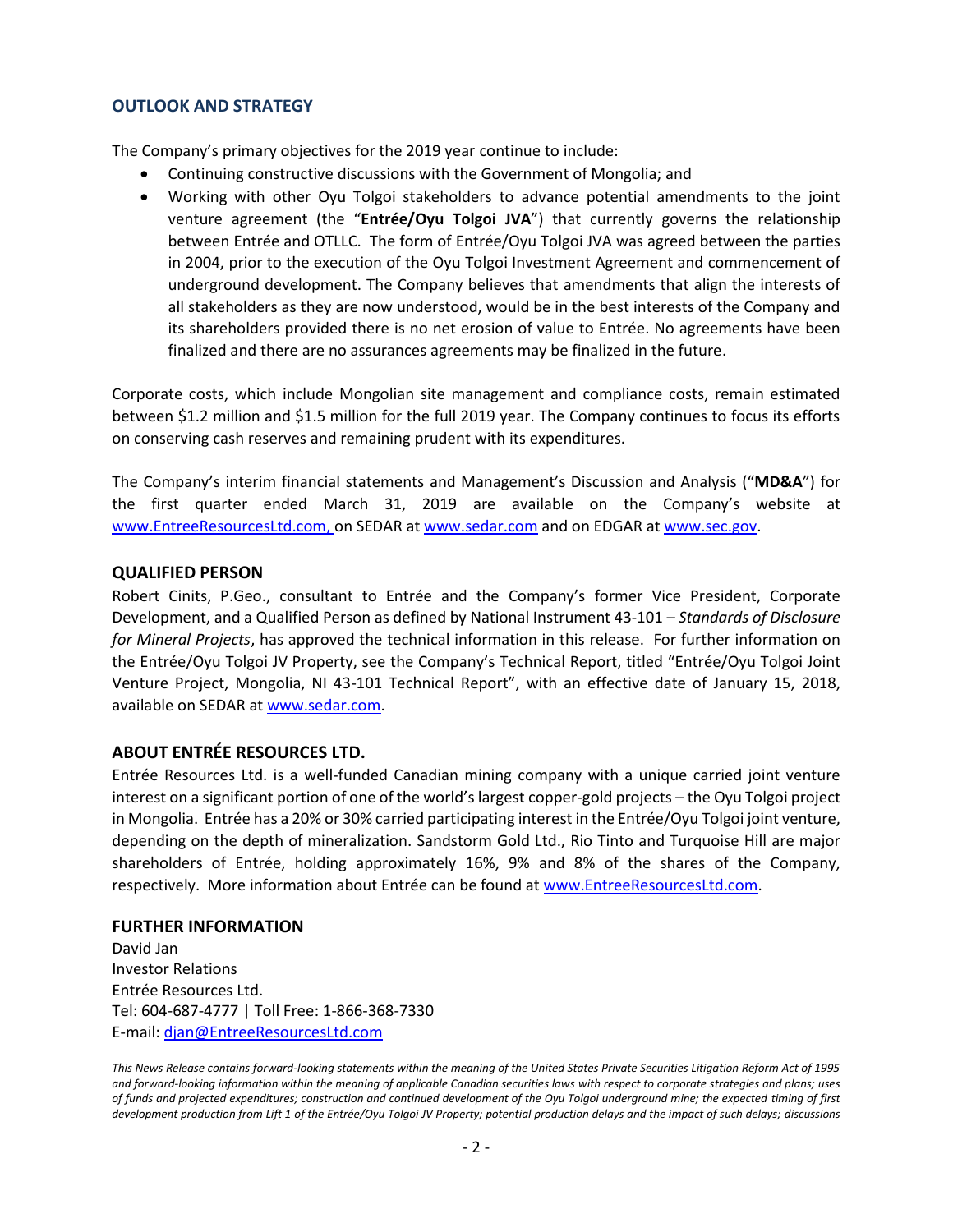### **OUTLOOK AND STRATEGY**

The Company's primary objectives for the 2019 year continue to include:

- Continuing constructive discussions with the Government of Mongolia; and
- Working with other Oyu Tolgoi stakeholders to advance potential amendments to the joint venture agreement (the "**Entrée/Oyu Tolgoi JVA**") that currently governs the relationship between Entrée and OTLLC. The form of Entrée/Oyu Tolgoi JVA was agreed between the parties in 2004, prior to the execution of the Oyu Tolgoi Investment Agreement and commencement of underground development. The Company believes that amendments that align the interests of all stakeholders as they are now understood, would be in the best interests of the Company and its shareholders provided there is no net erosion of value to Entrée. No agreements have been finalized and there are no assurances agreements may be finalized in the future.

Corporate costs, which include Mongolian site management and compliance costs, remain estimated between \$1.2 million and \$1.5 million for the full 2019 year. The Company continues to focus its efforts on conserving cash reserves and remaining prudent with its expenditures.

The Company's interim financial statements and Management's Discussion and Analysis ("**MD&A**") for the first quarter ended March 31, 2019 are available on the Company's website at [www.EntreeResourcesLtd.com,](http://www.entreeresourcesltd.com/) on SEDAR a[t www.sedar.com](http://www.sedar.com/) and on EDGAR a[t www.sec.gov.](http://www.sec.gov/)

#### **QUALIFIED PERSON**

Robert Cinits, P.Geo., consultant to Entrée and the Company's former Vice President, Corporate Development, and a Qualified Person as defined by National Instrument 43-101 – *Standards of Disclosure for Mineral Projects*, has approved the technical information in this release. For further information on the Entrée/Oyu Tolgoi JV Property, see the Company's Technical Report, titled "Entrée/Oyu Tolgoi Joint Venture Project, Mongolia, NI 43-101 Technical Report", with an effective date of January 15, 2018, available on SEDAR a[t www.sedar.com.](http://www.sedar.com/)

#### **ABOUT ENTRÉE RESOURCES LTD.**

Entrée Resources Ltd. is a well-funded Canadian mining company with a unique carried joint venture interest on a significant portion of one of the world's largest copper-gold projects – the Oyu Tolgoi project in Mongolia. Entrée has a 20% or 30% carried participating interest in the Entrée/Oyu Tolgoi joint venture, depending on the depth of mineralization. Sandstorm Gold Ltd., Rio Tinto and Turquoise Hill are major shareholders of Entrée, holding approximately 16%, 9% and 8% of the shares of the Company, respectively. More information about Entrée can be found at [www.EntreeResourcesLtd.com.](http://www.entreeresourcesltd.com/)

#### **FURTHER INFORMATION**

David Jan Investor Relations Entrée Resources Ltd. Tel: 604-687-4777 | Toll Free: 1-866-368-7330 E-mail: [djan@EntreeResourcesLtd.com](mailto:djan@EntreeResourcesLtd.com)

*This News Release contains forward-looking statements within the meaning of the United States Private Securities Litigation Reform Act of 1995 and forward-looking information within the meaning of applicable Canadian securities laws with respect to corporate strategies and plans; uses of funds and projected expenditures; construction and continued development of the Oyu Tolgoi underground mine; the expected timing of first development production from Lift 1 of the Entrée/Oyu Tolgoi JV Property; potential production delays and the impact of such delays; discussions*